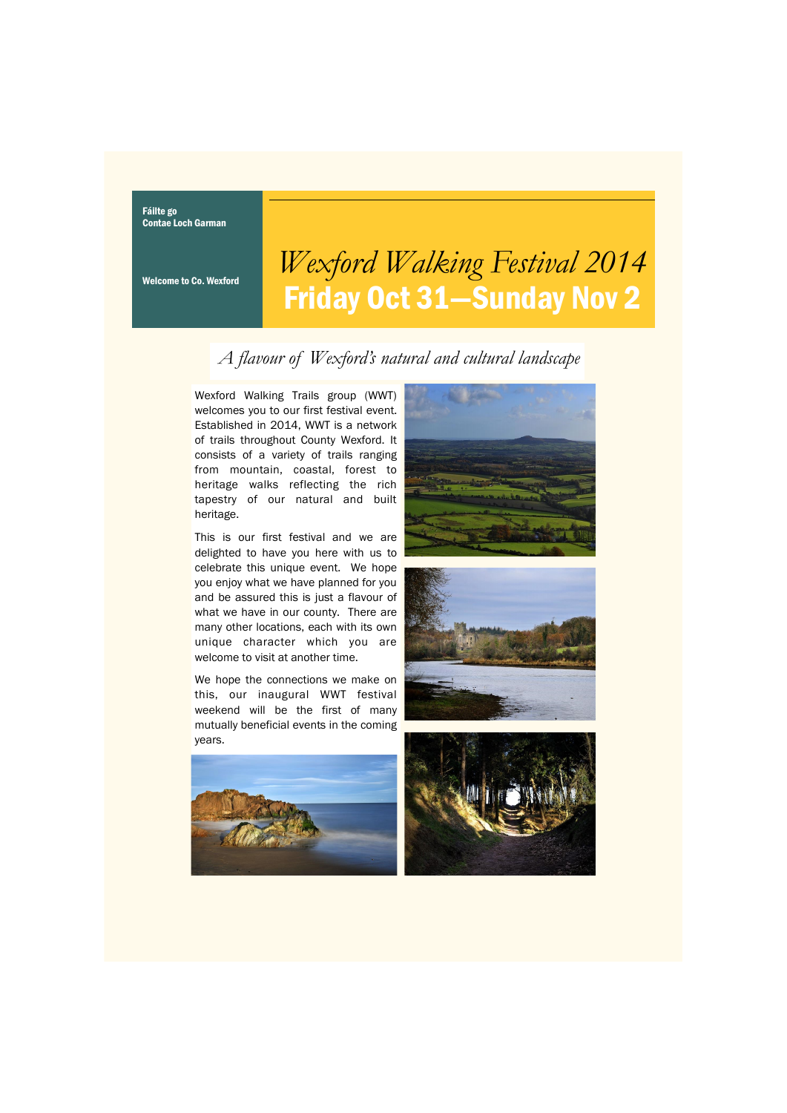Fáilte go Contae Loch Garman

Welcome to Co. Wexford

## *Wexford Walking Festival 2014* Friday Oct 31—Sunday Nov 2

## *A flavour of Wexford's natural and cultural landscape*

Wexford Walking Trails group (WWT) welcomes you to our first festival event. Established in 2014, WWT is a network of trails throughout County Wexford. It consists of a variety of trails ranging from mountain, coastal, forest to heritage walks reflecting the rich tapestry of our natural and built heritage.

This is our first festival and we are delighted to have you here with us to celebrate this unique event. We hope you enjoy what we have planned for you and be assured this is just a flavour of what we have in our county. There are many other locations, each with its own unique character which you are welcome to visit at another time.

We hope the connections we make on this, our inaugural WWT festival weekend will be the first of many mutually beneficial events in the coming years.